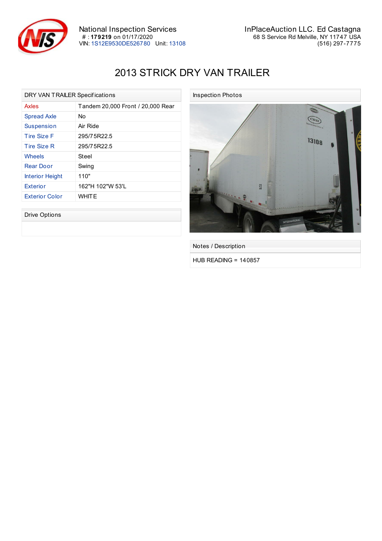

## 2013 STRICK DRY VAN TRAILER

| DRY VAN TRAILER Specifications |                                   |  |
|--------------------------------|-----------------------------------|--|
| Axles                          | Tandem 20,000 Front / 20,000 Rear |  |
| <b>Spread Axle</b>             | N٥                                |  |
| <b>Suspension</b>              | Air Ride                          |  |
| Tire Size F                    | 295/75R22.5                       |  |
| Tire Size R                    | 295/75R22.5                       |  |
| Wheels                         | Steel                             |  |
| <b>Rear Door</b>               | Swing                             |  |
| <b>Interior Height</b>         | 110"                              |  |
| <b>Exterior</b>                | 162"H 102"W 53'L                  |  |
| <b>Exterior Color</b>          | WHITE                             |  |

Drive Options



Notes / Description

HUB READING = 140857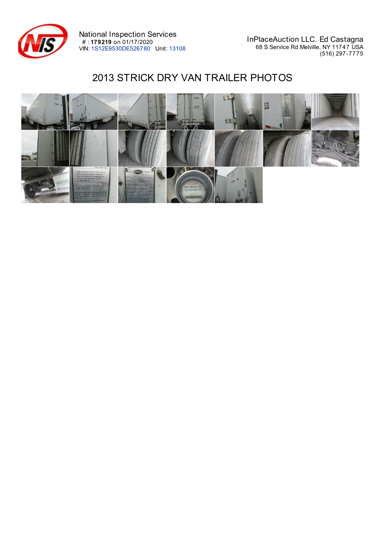

National Inspection Services # : **179219** on 01/17/2020 VIN: 1S12E9530DE526780 Unit: 13108

InPlaceAuction LLC. Ed Castagna 68 S Service Rd Melville, NY 11747 USA (516) 297-7775

## 2013 STRICK DRY VAN TRAILER PHOTOS